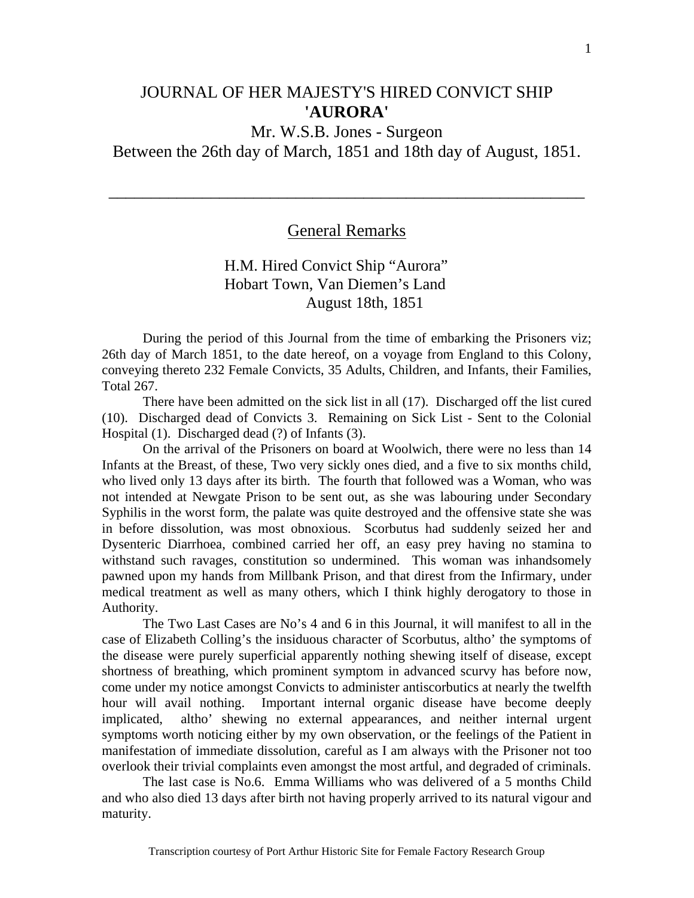## JOURNAL OF HER MAJESTY'S HIRED CONVICT SHIP **'AURORA'**

# Mr. W.S.B. Jones - Surgeon

Between the 26th day of March, 1851 and 18th day of August, 1851.

### General Remarks

\_\_\_\_\_\_\_\_\_\_\_\_\_\_\_\_\_\_\_\_\_\_\_\_\_\_\_\_\_\_\_\_\_\_\_\_\_\_\_\_\_\_\_\_\_\_\_\_\_\_\_\_\_\_\_\_

## H.M. Hired Convict Ship "Aurora" Hobart Town, Van Diemen's Land August 18th, 1851

During the period of this Journal from the time of embarking the Prisoners viz; 26th day of March 1851, to the date hereof, on a voyage from England to this Colony, conveying thereto 232 Female Convicts, 35 Adults, Children, and Infants, their Families, Total 267.

 There have been admitted on the sick list in all (17). Discharged off the list cured (10). Discharged dead of Convicts 3. Remaining on Sick List - Sent to the Colonial Hospital (1). Discharged dead (?) of Infants (3).

 On the arrival of the Prisoners on board at Woolwich, there were no less than 14 Infants at the Breast, of these, Two very sickly ones died, and a five to six months child, who lived only 13 days after its birth. The fourth that followed was a Woman, who was not intended at Newgate Prison to be sent out, as she was labouring under Secondary Syphilis in the worst form, the palate was quite destroyed and the offensive state she was in before dissolution, was most obnoxious. Scorbutus had suddenly seized her and Dysenteric Diarrhoea, combined carried her off, an easy prey having no stamina to withstand such ravages, constitution so undermined. This woman was inhandsomely pawned upon my hands from Millbank Prison, and that direst from the Infirmary, under medical treatment as well as many others, which I think highly derogatory to those in Authority.

 The Two Last Cases are No's 4 and 6 in this Journal, it will manifest to all in the case of Elizabeth Colling's the insiduous character of Scorbutus, altho' the symptoms of the disease were purely superficial apparently nothing shewing itself of disease, except shortness of breathing, which prominent symptom in advanced scurvy has before now, come under my notice amongst Convicts to administer antiscorbutics at nearly the twelfth hour will avail nothing. Important internal organic disease have become deeply implicated, altho' shewing no external appearances, and neither internal urgent symptoms worth noticing either by my own observation, or the feelings of the Patient in manifestation of immediate dissolution, careful as I am always with the Prisoner not too overlook their trivial complaints even amongst the most artful, and degraded of criminals.

 The last case is No.6. Emma Williams who was delivered of a 5 months Child and who also died 13 days after birth not having properly arrived to its natural vigour and maturity.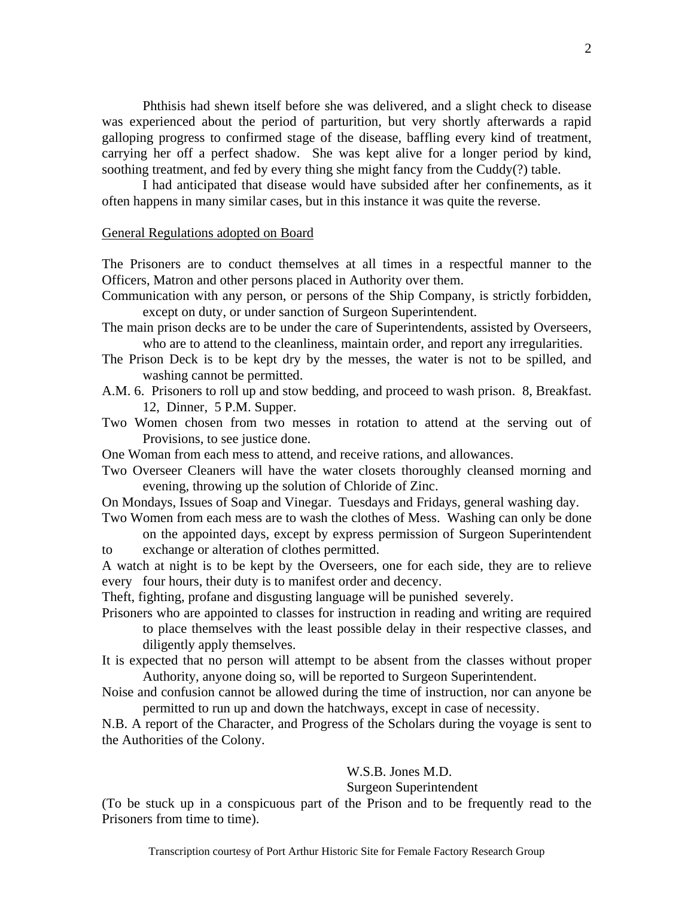Phthisis had shewn itself before she was delivered, and a slight check to disease was experienced about the period of parturition, but very shortly afterwards a rapid galloping progress to confirmed stage of the disease, baffling every kind of treatment, carrying her off a perfect shadow. She was kept alive for a longer period by kind, soothing treatment, and fed by every thing she might fancy from the Cuddy(?) table.

 I had anticipated that disease would have subsided after her confinements, as it often happens in many similar cases, but in this instance it was quite the reverse.

#### General Regulations adopted on Board

The Prisoners are to conduct themselves at all times in a respectful manner to the Officers, Matron and other persons placed in Authority over them.

Communication with any person, or persons of the Ship Company, is strictly forbidden, except on duty, or under sanction of Surgeon Superintendent.

- The main prison decks are to be under the care of Superintendents, assisted by Overseers, who are to attend to the cleanliness, maintain order, and report any irregularities.
- The Prison Deck is to be kept dry by the messes, the water is not to be spilled, and washing cannot be permitted.
- A.M. 6. Prisoners to roll up and stow bedding, and proceed to wash prison. 8, Breakfast. 12, Dinner, 5 P.M. Supper.
- Two Women chosen from two messes in rotation to attend at the serving out of Provisions, to see justice done.
- One Woman from each mess to attend, and receive rations, and allowances.
- Two Overseer Cleaners will have the water closets thoroughly cleansed morning and evening, throwing up the solution of Chloride of Zinc.

On Mondays, Issues of Soap and Vinegar. Tuesdays and Fridays, general washing day.

Two Women from each mess are to wash the clothes of Mess. Washing can only be done on the appointed days, except by express permission of Surgeon Superintendent

to exchange or alteration of clothes permitted.

A watch at night is to be kept by the Overseers, one for each side, they are to relieve every four hours, their duty is to manifest order and decency.

Theft, fighting, profane and disgusting language will be punished severely.

Prisoners who are appointed to classes for instruction in reading and writing are required to place themselves with the least possible delay in their respective classes, and diligently apply themselves.

It is expected that no person will attempt to be absent from the classes without proper Authority, anyone doing so, will be reported to Surgeon Superintendent.

Noise and confusion cannot be allowed during the time of instruction, nor can anyone be permitted to run up and down the hatchways, except in case of necessity.

N.B. A report of the Character, and Progress of the Scholars during the voyage is sent to the Authorities of the Colony.

#### W.S.B. Jones M.D.

#### Surgeon Superintendent

(To be stuck up in a conspicuous part of the Prison and to be frequently read to the Prisoners from time to time).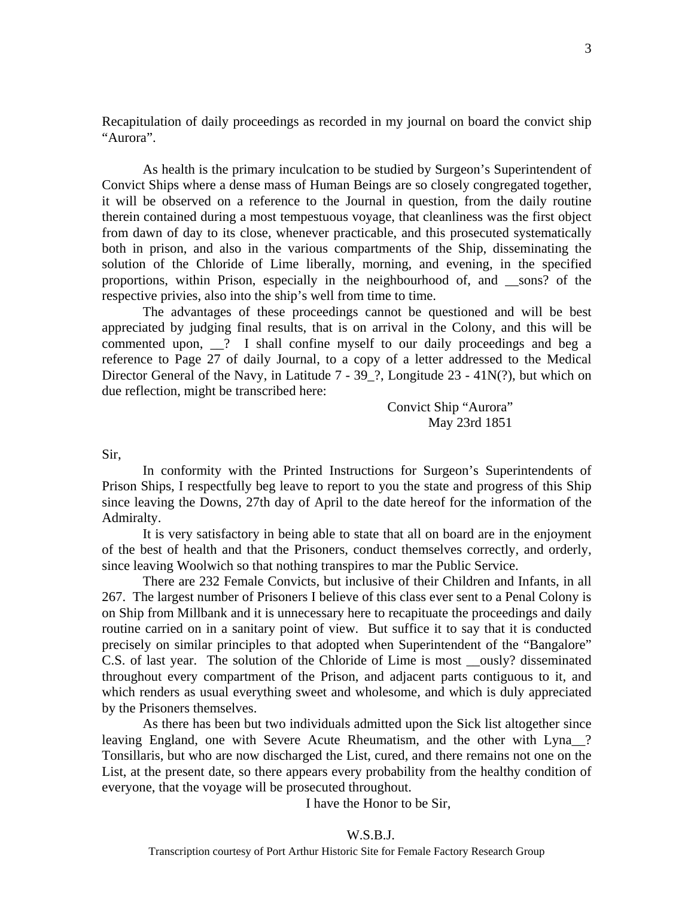Recapitulation of daily proceedings as recorded in my journal on board the convict ship "Aurora".

 As health is the primary inculcation to be studied by Surgeon's Superintendent of Convict Ships where a dense mass of Human Beings are so closely congregated together, it will be observed on a reference to the Journal in question, from the daily routine therein contained during a most tempestuous voyage, that cleanliness was the first object from dawn of day to its close, whenever practicable, and this prosecuted systematically both in prison, and also in the various compartments of the Ship, disseminating the solution of the Chloride of Lime liberally, morning, and evening, in the specified proportions, within Prison, especially in the neighbourhood of, and \_\_sons? of the respective privies, also into the ship's well from time to time.

 The advantages of these proceedings cannot be questioned and will be best appreciated by judging final results, that is on arrival in the Colony, and this will be commented upon, \_\_? I shall confine myself to our daily proceedings and beg a reference to Page 27 of daily Journal, to a copy of a letter addressed to the Medical Director General of the Navy, in Latitude 7 - 39\_?, Longitude 23 - 41N(?), but which on due reflection, might be transcribed here:

> Convict Ship "Aurora" May 23rd 1851

Sir,

 In conformity with the Printed Instructions for Surgeon's Superintendents of Prison Ships, I respectfully beg leave to report to you the state and progress of this Ship since leaving the Downs, 27th day of April to the date hereof for the information of the Admiralty.

 It is very satisfactory in being able to state that all on board are in the enjoyment of the best of health and that the Prisoners, conduct themselves correctly, and orderly, since leaving Woolwich so that nothing transpires to mar the Public Service.

 There are 232 Female Convicts, but inclusive of their Children and Infants, in all 267. The largest number of Prisoners I believe of this class ever sent to a Penal Colony is on Ship from Millbank and it is unnecessary here to recapituate the proceedings and daily routine carried on in a sanitary point of view. But suffice it to say that it is conducted precisely on similar principles to that adopted when Superintendent of the "Bangalore" C.S. of last year. The solution of the Chloride of Lime is most \_\_ously? disseminated throughout every compartment of the Prison, and adjacent parts contiguous to it, and which renders as usual everything sweet and wholesome, and which is duly appreciated by the Prisoners themselves.

 As there has been but two individuals admitted upon the Sick list altogether since leaving England, one with Severe Acute Rheumatism, and the other with Lyna<sup>2</sup>? Tonsillaris, but who are now discharged the List, cured, and there remains not one on the List, at the present date, so there appears every probability from the healthy condition of everyone, that the voyage will be prosecuted throughout.

I have the Honor to be Sir,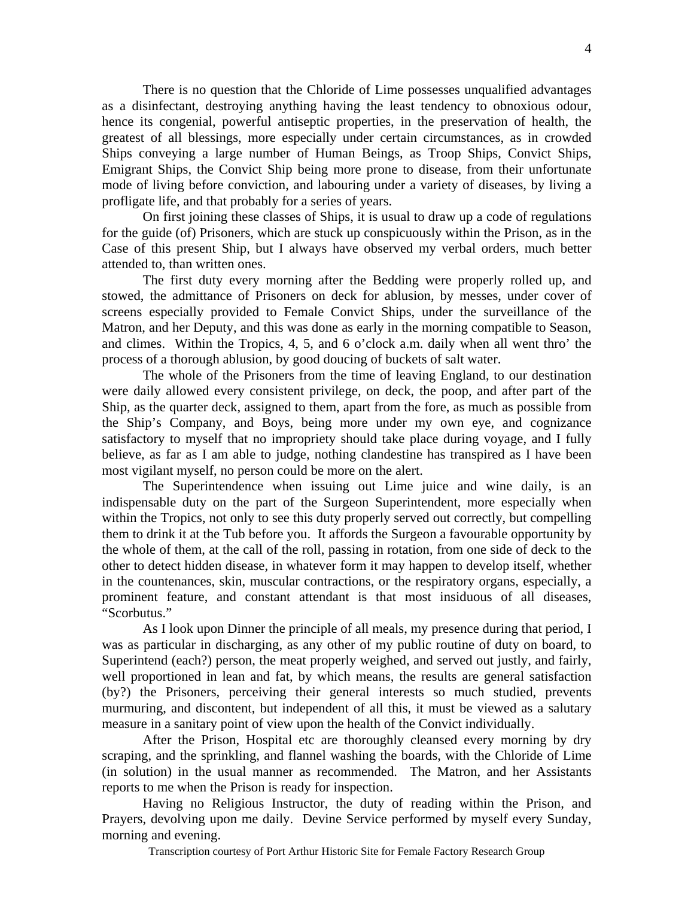There is no question that the Chloride of Lime possesses unqualified advantages as a disinfectant, destroying anything having the least tendency to obnoxious odour, hence its congenial, powerful antiseptic properties, in the preservation of health, the greatest of all blessings, more especially under certain circumstances, as in crowded Ships conveying a large number of Human Beings, as Troop Ships, Convict Ships, Emigrant Ships, the Convict Ship being more prone to disease, from their unfortunate mode of living before conviction, and labouring under a variety of diseases, by living a profligate life, and that probably for a series of years.

 On first joining these classes of Ships, it is usual to draw up a code of regulations for the guide (of) Prisoners, which are stuck up conspicuously within the Prison, as in the Case of this present Ship, but I always have observed my verbal orders, much better attended to, than written ones.

 The first duty every morning after the Bedding were properly rolled up, and stowed, the admittance of Prisoners on deck for ablusion, by messes, under cover of screens especially provided to Female Convict Ships, under the surveillance of the Matron, and her Deputy, and this was done as early in the morning compatible to Season, and climes. Within the Tropics, 4, 5, and 6 o'clock a.m. daily when all went thro' the process of a thorough ablusion, by good doucing of buckets of salt water.

 The whole of the Prisoners from the time of leaving England, to our destination were daily allowed every consistent privilege, on deck, the poop, and after part of the Ship, as the quarter deck, assigned to them, apart from the fore, as much as possible from the Ship's Company, and Boys, being more under my own eye, and cognizance satisfactory to myself that no impropriety should take place during voyage, and I fully believe, as far as I am able to judge, nothing clandestine has transpired as I have been most vigilant myself, no person could be more on the alert.

 The Superintendence when issuing out Lime juice and wine daily, is an indispensable duty on the part of the Surgeon Superintendent, more especially when within the Tropics, not only to see this duty properly served out correctly, but compelling them to drink it at the Tub before you. It affords the Surgeon a favourable opportunity by the whole of them, at the call of the roll, passing in rotation, from one side of deck to the other to detect hidden disease, in whatever form it may happen to develop itself, whether in the countenances, skin, muscular contractions, or the respiratory organs, especially, a prominent feature, and constant attendant is that most insiduous of all diseases, "Scorbutus."

 As I look upon Dinner the principle of all meals, my presence during that period, I was as particular in discharging, as any other of my public routine of duty on board, to Superintend (each?) person, the meat properly weighed, and served out justly, and fairly, well proportioned in lean and fat, by which means, the results are general satisfaction (by?) the Prisoners, perceiving their general interests so much studied, prevents murmuring, and discontent, but independent of all this, it must be viewed as a salutary measure in a sanitary point of view upon the health of the Convict individually.

 After the Prison, Hospital etc are thoroughly cleansed every morning by dry scraping, and the sprinkling, and flannel washing the boards, with the Chloride of Lime (in solution) in the usual manner as recommended. The Matron, and her Assistants reports to me when the Prison is ready for inspection.

 Having no Religious Instructor, the duty of reading within the Prison, and Prayers, devolving upon me daily. Devine Service performed by myself every Sunday, morning and evening.